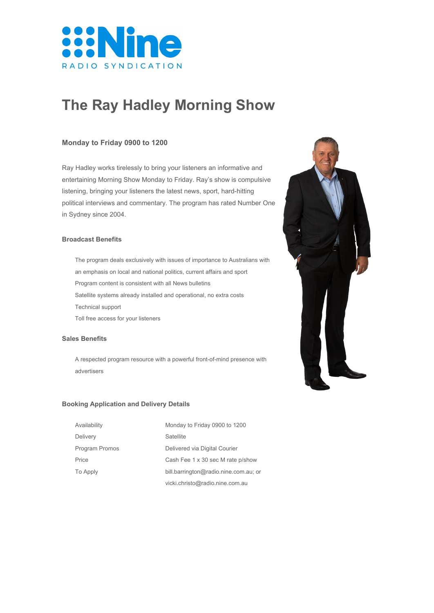

# **The Ray Hadley Morning Show**

# **Monday to Friday 0900 to 1200**

Ray Hadley works tirelessly to bring your listeners an informative and entertaining Morning Show Monday to Friday. Ray's show is compulsive listening, bringing your listeners the latest news, sport, hard-hitting political interviews and commentary. The program has rated Number One in Sydney since 2004.

## **Broadcast Benefits**

The program deals exclusively with issues of importance to Australians with an emphasis on local and national politics, current affairs and sport Program content is consistent with all News bulletins Satellite systems already installed and operational, no extra costs Technical support Toll free access for your listeners

#### **Sales Benefits**

A respected program resource with a powerful front-of-mind presence with advertisers

#### **Booking Application and Delivery Details**

| Availability    | Monday to Friday 0900 to 1200         |
|-----------------|---------------------------------------|
| Delivery        | Satellite                             |
| Program Promos  | Delivered via Digital Courier         |
| Price           | Cash Fee 1 x 30 sec M rate p/show     |
| <b>To Apply</b> | bill.barrington@radio.nine.com.au; or |
|                 | vicki.christo@radio.nine.com.au       |